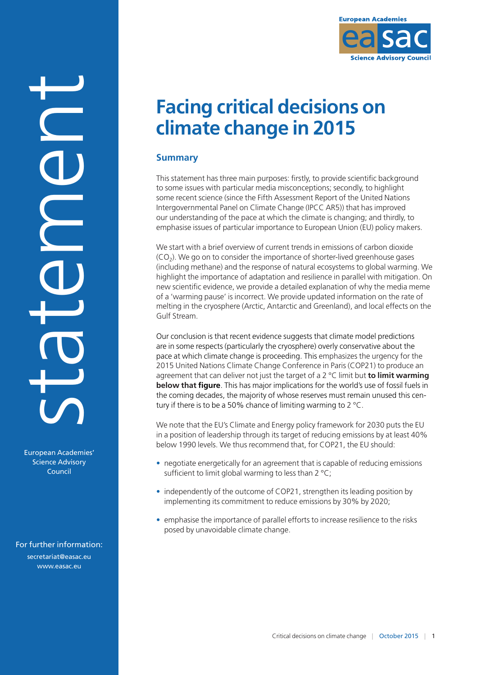

# **Facing critical decisions on climate change in 2015**

# **Summary**

This statement has three main purposes: firstly, to provide scientific background to some issues with particular media misconceptions; secondly, to highlight some recent science (since the Fifth Assessment Report of the United Nations Intergovernmental Panel on Climate Change (IPCC AR5)) that has improved our understanding of the pace at which the climate is changing; and thirdly, to emphasise issues of particular importance to European Union (EU) policy makers.

We start with a brief overview of current trends in emissions of carbon dioxide  $(CO<sub>2</sub>)$ . We go on to consider the importance of shorter-lived greenhouse gases (including methane) and the response of natural ecosystems to global warming. We highlight the importance of adaptation and resilience in parallel with mitigation. On new scientific evidence, we provide a detailed explanation of why the media meme of a 'warming pause' is incorrect. We provide updated information on the rate of melting in the cryosphere (Arctic, Antarctic and Greenland), and local effects on the Gulf Stream.

Our conclusion is that recent evidence suggests that climate model predictions are in some respects (particularly the cryosphere) overly conservative about the pace at which climate change is proceeding. This emphasizes the urgency for the 2015 United Nations Climate Change Conference in Paris (COP21) to produce an agreement that can deliver not just the target of a 2 °C limit but **to limit warming below that figure**. This has major implications for the world's use of fossil fuels in the coming decades, the majority of whose reserves must remain unused this century if there is to be a 50% chance of limiting warming to 2 °C.

We note that the EU's Climate and Energy policy framework for 2030 puts the EU in a position of leadership through its target of reducing emissions by at least 40% below 1990 levels. We thus recommend that, for COP21, the EU should:

- negotiate energetically for an agreement that is capable of reducing emissions sufficient to limit global warming to less than 2 °C;
- independently of the outcome of COP21, strengthen its leading position by implementing its commitment to reduce emissions by 30% by 2020;
- emphasise the importance of parallel efforts to increase resilience to the risks posed by unavoidable climate change.

For further information: [secretariat@easac.eu](mailto:secretariat@easac.eu) [www.easac.eu](http://www.easac.eu)

European Academies' Science Advisory Council

statement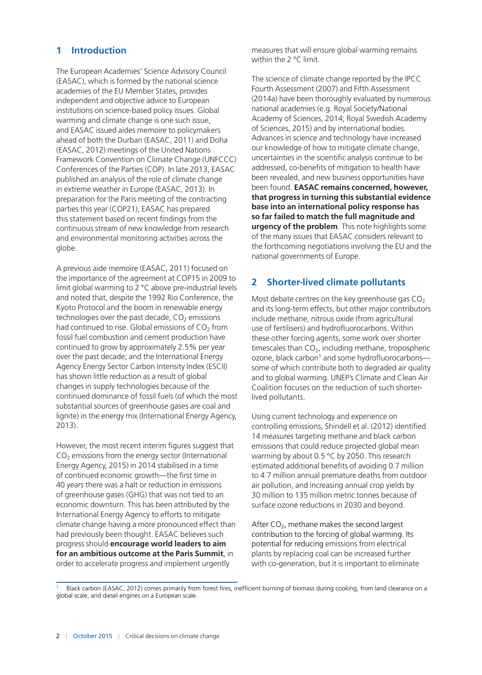# **1 Introduction**

The European Academies' Science Advisory Council (EASAC), which is formed by the national science academies of the EU Member States, provides independent and objective advice to European institutions on science-based policy issues. Global warming and climate change is one such issue, and EASAC issued aides memoire to policymakers ahead of both the Durban (EASAC, 2011) and Doha (EASAC, 2012) meetings of the United Nations Framework Convention on Climate Change (UNFCCC) Conferences of the Parties (COP). In late 2013, EASAC published an analysis of the role of climate change in extreme weather in Europe (EASAC, 2013). In preparation for the Paris meeting of the contracting parties this year (COP21), EASAC has prepared this statement based on recent findings from the continuous stream of new knowledge from research and environmental monitoring activities across the globe.

A previous aide memoire (EASAC, 2011) focused on the importance of the agreement at COP15 in 2009 to limit global warming to 2 °C above pre-industrial levels and noted that, despite the 1992 Rio Conference, the Kyoto Protocol and the boom in renewable energy technologies over the past decade,  $CO<sub>2</sub>$  emissions had continued to rise. Global emissions of  $CO<sub>2</sub>$  from fossil fuel combustion and cement production have continued to grow by approximately 2.5% per year over the past decade; and the International Energy Agency Energy Sector Carbon Intensity Index (ESCII) has shown little reduction as a result of global changes in supply technologies because of the continued dominance of fossil fuels (of which the most substantial sources of greenhouse gases are coal and lignite) in the energy mix (International Energy Agency, 2013).

However, the most recent interim figures suggest that  $CO<sub>2</sub>$  emissions from the energy sector (International Energy Agency, 2015) in 2014 stabilised in a time of continued economic growth—the first time in 40 years there was a halt or reduction in emissions of greenhouse gases (GHG) that was not tied to an economic downturn. This has been attributed by the International Energy Agency to efforts to mitigate climate change having a more pronounced effect than had previously been thought. EASAC believes such progress should **encourage world leaders to aim for an ambitious outcome at the Paris Summit**, in order to accelerate progress and implement urgently

measures that will ensure global warming remains within the 2 °C limit.

The science of climate change reported by the IPCC Fourth Assessment (2007) and Fifth Assessment (2014a) have been thoroughly evaluated by numerous national academies (e.g. Royal Society/National Academy of Sciences, 2014; Royal Swedish Academy of Sciences, 2015) and by international bodies. Advances in science and technology have increased our knowledge of how to mitigate climate change, uncertainties in the scientific analysis continue to be addressed, co-benefits of mitigation to health have been revealed, and new business opportunities have been found. **EASAC remains concerned, however, that progress in turning this substantial evidence base into an international policy response has so far failed to match the full magnitude and urgency of the problem**. This note highlights some of the many issues that EASAC considers relevant to the forthcoming negotiations involving the EU and the national governments of Europe.

## **2 Shorter-lived climate pollutants**

Most debate centres on the key greenhouse gas  $CO<sub>2</sub>$ and its long-term effects, but other major contributors include methane, nitrous oxide (from agricultural use of fertilisers) and hydrofluorocarbons. Within these other forcing agents, some work over shorter timescales than  $CO<sub>2</sub>$ , including methane, tropospheric ozone, black carbon<sup>1</sup> and some hydrofluorocarbonssome of which contribute both to degraded air quality and to global warming. UNEP's Climate and Clean Air Coalition focuses on the reduction of such shorterlived pollutants.

Using current technology and experience on controlling emissions, Shindell et al. (2012) identified 14 measures targeting methane and black carbon emissions that could reduce projected global mean warming by about 0.5 °C by 2050. This research estimated additional benefits of avoiding 0.7 million to 4.7 million annual premature deaths from outdoor air pollution, and increasing annual crop yields by 30 million to 135 million metric tonnes because of surface ozone reductions in 2030 and beyond.

After  $CO<sub>2</sub>$ , methane makes the second largest contribution to the forcing of global warming. Its potential for reducing emissions from electrical plants by replacing coal can be increased further with co-generation, but it is important to eliminate

Black carbon (EASAC, 2012) comes primarily from forest fires, inefficient burning of biomass during cooking, from land clearance on a global scale, and diesel engines on a European scale.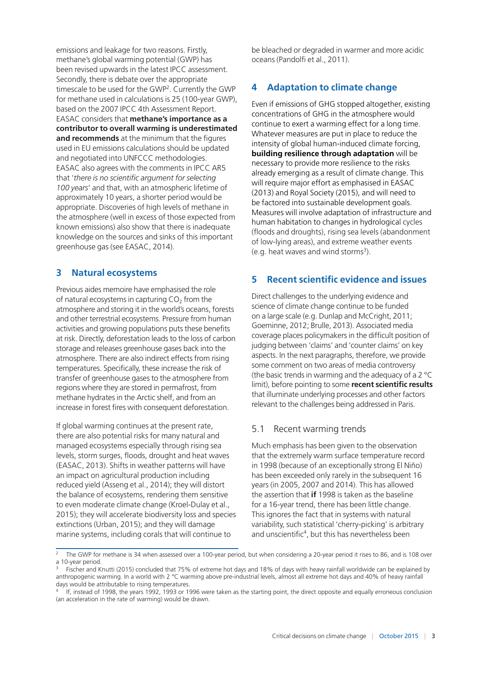emissions and leakage for two reasons. Firstly, methane's global warming potential (GWP) has been revised upwards in the latest IPCC assessment. Secondly, there is debate over the appropriate timescale to be used for the GWP<sup>2</sup>. Currently the GWP for methane used in calculations is 25 (100-year GWP). based on the 2007 IPCC 4th Assessment Report. EASAC considers that **methane's importance as a contributor to overall warming is underestimated and recommends** at the minimum that the figures used in EU emissions calculations should be updated and negotiated into UNFCCC methodologies. EASAC also agrees with the comments in IPCC AR5 that '*there is no scientific argument for selecting 100 years*' and that, with an atmospheric lifetime of approximately 10 years, a shorter period would be appropriate. Discoveries of high levels of methane in the atmosphere (well in excess of those expected from known emissions) also show that there is inadequate knowledge on the sources and sinks of this important greenhouse gas (see EASAC, 2014).

## **3 Natural ecosystems**

Previous aides memoire have emphasised the role of natural ecosystems in capturing  $CO<sub>2</sub>$  from the atmosphere and storing it in the world's oceans, forests and other terrestrial ecosystems. Pressure from human activities and growing populations puts these benefits at risk. Directly, deforestation leads to the loss of carbon storage and releases greenhouse gases back into the atmosphere. There are also indirect effects from rising temperatures. Specifically, these increase the risk of transfer of greenhouse gases to the atmosphere from regions where they are stored in permafrost, from methane hydrates in the Arctic shelf, and from an increase in forest fires with consequent deforestation.

If global warming continues at the present rate, there are also potential risks for many natural and managed ecosystems especially through rising sea levels, storm surges, floods, drought and heat waves (EASAC, 2013). Shifts in weather patterns will have an impact on agricultural production including reduced yield (Asseng et al., 2014); they will distort the balance of ecosystems, rendering them sensitive to even moderate climate change (Kroel-Dulay et al., 2015); they will accelerate biodiversity loss and species extinctions (Urban, 2015); and they will damage marine systems, including corals that will continue to

be bleached or degraded in warmer and more acidic oceans (Pandolfi et al., 2011).

# **4 Adaptation to climate change**

Even if emissions of GHG stopped altogether, existing concentrations of GHG in the atmosphere would continue to exert a warming effect for a long time. Whatever measures are put in place to reduce the intensity of global human-induced climate forcing, **building resilience through adaptation** will be necessary to provide more resilience to the risks already emerging as a result of climate change. This will require major effort as emphasised in EASAC (2013) and Royal Society (2015), and will need to be factored into sustainable development goals. Measures will involve adaptation of infrastructure and human habitation to changes in hydrological cycles (floods and droughts), rising sea levels (abandonment of low-lying areas), and extreme weather events (e.g. heat waves and wind storms<sup>3</sup>).

# **5 Recent scientific evidence and issues**

Direct challenges to the underlying evidence and science of climate change continue to be funded on a large scale (e.g. Dunlap and McCright, 2011; Goeminne, 2012; Brulle, 2013). Associated media coverage places policymakers in the difficult position of judging between 'claims' and 'counter claims' on key aspects. In the next paragraphs, therefore, we provide some comment on two areas of media controversy (the basic trends in warming and the adequacy of a 2 °C limit), before pointing to some **recent scientific results** that illuminate underlying processes and other factors relevant to the challenges being addressed in Paris.

# 5.1 Recent warming trends

Much emphasis has been given to the observation that the extremely warm surface temperature record in 1998 (because of an exceptionally strong El Niño) has been exceeded only rarely in the subsequent 16 years (in 2005, 2007 and 2014). This has allowed the assertion that **if** 1998 is taken as the baseline for a 16-year trend, there has been little change. This ignores the fact that in systems with natural variability, such statistical 'cherry-picking' is arbitrary and unscientific<sup>4</sup>, but this has nevertheless been

<sup>2</sup> The GWP for methane is 34 when assessed over a 100-year period, but when considering a 20-year period it rises to 86, and is 108 over a 10-year period.

<sup>3</sup> Fischer and Knutti (2015) concluded that 75% of extreme hot days and 18% of days with heavy rainfall worldwide can be explained by anthropogenic warming. In a world with 2 °C warming above pre-industrial levels, almost all extreme hot days and 40% of heavy rainfall days would be attributable to rising temperatures.

If, instead of 1998, the years 1992, 1993 or 1996 were taken as the starting point, the direct opposite and equally erroneous conclusion (an acceleration in the rate of warming) would be drawn.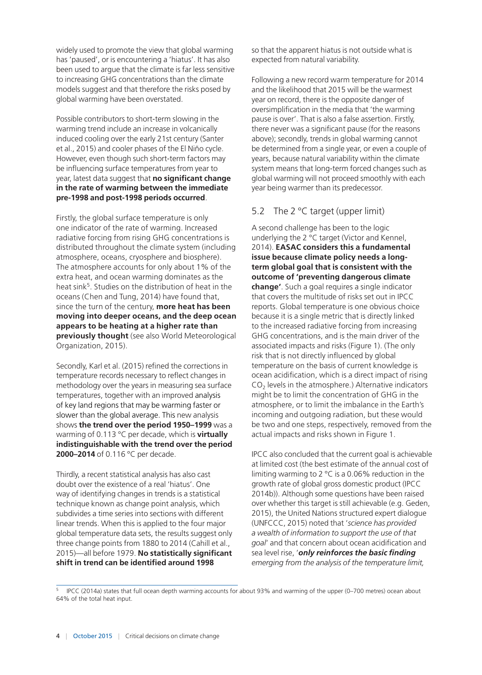widely used to promote the view that global warming has 'paused', or is encountering a 'hiatus'. It has also been used to argue that the climate is far less sensitive to increasing GHG concentrations than the climate models suggest and that therefore the risks posed by global warming have been overstated.

Possible contributors to short-term slowing in the warming trend include an increase in volcanically induced cooling over the early 21st century (Santer et al., 2015) and cooler phases of the El Niño cycle. However, even though such short-term factors may be influencing surface temperatures from year to year, latest data suggest that **no significant change in the rate of warming between the immediate pre-1998 and post-1998 periods occurred**.

Firstly, the global surface temperature is only one indicator of the rate of warming. Increased radiative forcing from rising GHG concentrations is distributed throughout the climate system (including atmosphere, oceans, cryosphere and biosphere). The atmosphere accounts for only about 1% of the extra heat, and ocean warming dominates as the heat sink<sup>5</sup>. Studies on the distribution of heat in the oceans (Chen and Tung, 2014) have found that, since the turn of the century, **more heat has been moving into deeper oceans, and the deep ocean appears to be heating at a higher rate than previously thought** (see also World Meteorological Organization, 2015).

Secondly, Karl et al. (2015) refined the corrections in temperature records necessary to reflect changes in methodology over the years in measuring sea surface temperatures, together with an improved analysis of key land regions that may be warming faster or slower than the global average. This new analysis shows **the trend over the period 1950–1999** was a warming of 0.113 °C per decade, which is **virtually indistinguishable with the trend over the period 2000–2014** of 0.116 °C per decade.

Thirdly, a recent statistical analysis has also cast doubt over the existence of a real 'hiatus'. One way of identifying changes in trends is a statistical technique known as change point analysis, which subdivides a time series into sections with different linear trends. When this is applied to the four major global temperature data sets, the results suggest only three change points from 1880 to 2014 (Cahill et al., 2015)—all before 1979. **No statistically significant shift in trend can be identified around 1998** 

so that the apparent hiatus is not outside what is expected from natural variability.

Following a new record warm temperature for 2014 and the likelihood that 2015 will be the warmest year on record, there is the opposite danger of oversimplification in the media that 'the warming pause is over'. That is also a false assertion. Firstly, there never was a significant pause (for the reasons above); secondly, trends in global warming cannot be determined from a single year, or even a couple of years, because natural variability within the climate system means that long-term forced changes such as global warming will not proceed smoothly with each year being warmer than its predecessor.

## 5.2 The 2  $\degree$ C target (upper limit)

A second challenge has been to the logic underlying the 2 °C target (Victor and Kennel, 2014). **EASAC considers this a fundamental issue because climate policy needs a longterm global goal that is consistent with the outcome of 'preventing dangerous climate change'**. Such a goal requires a single indicator that covers the multitude of risks set out in IPCC reports. Global temperature is one obvious choice because it is a single metric that is directly linked to the increased radiative forcing from increasing GHG concentrations, and is the main driver of the associated impacts and risks (Figure 1). (The only risk that is not directly influenced by global temperature on the basis of current knowledge is ocean acidification, which is a direct impact of rising  $CO<sub>2</sub>$  levels in the atmosphere.) Alternative indicators might be to limit the concentration of GHG in the atmosphere, or to limit the imbalance in the Earth's incoming and outgoing radiation, but these would be two and one steps, respectively, removed from the actual impacts and risks shown in Figure 1.

IPCC also concluded that the current goal is achievable at limited cost (the best estimate of the annual cost of limiting warming to 2 °C is a 0.06% reduction in the growth rate of global gross domestic product (IPCC 2014b)). Although some questions have been raised over whether this target is still achievable (e.g. Geden, 2015), the United Nations structured expert dialogue (UNFCCC, 2015) noted that '*science has provided a wealth of information to support the use of that goal*' and that concern about ocean acidification and sea level rise, '*only reinforces the basic finding emerging from the analysis of the temperature limit,* 

<sup>5</sup> IPCC (2014a) states that full ocean depth warming accounts for about 93% and warming of the upper (0–700 metres) ocean about 64% of the total heat input.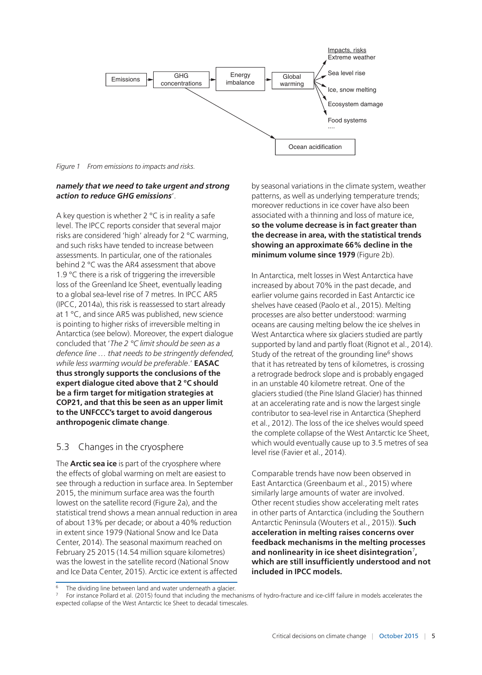

*Figure 1 From emissions to impacts and risks.*

#### *namely that we need to take urgent and strong action to reduce GHG emissions*'.

A key question is whether  $2^{\circ}C$  is in reality a safe level. The IPCC reports consider that several major risks are considered 'high' already for 2 °C warming, and such risks have tended to increase between assessments. In particular, one of the rationales behind 2 °C was the AR4 assessment that above 1.9 °C there is a risk of triggering the irreversible loss of the Greenland Ice Sheet, eventually leading to a global sea-level rise of 7 metres. In IPCC AR5 (IPCC, 2014a), this risk is reassessed to start already at 1 °C, and since AR5 was published, new science is pointing to higher risks of irreversible melting in Antarctica (see below). Moreover, the expert dialogue concluded that '*The 2 °C limit should be seen as a defence line … that needs to be stringently defended, while less warming would be preferable*.' **EASAC thus strongly supports the conclusions of the expert dialogue cited above that 2 °C should be a firm target for mitigation strategies at COP21, and that this be seen as an upper limit to the UNFCCC's target to avoid dangerous anthropogenic climate change**.

## 5.3 Changes in the cryosphere

The **Arctic sea ice** is part of the cryosphere where the effects of global warming on melt are easiest to see through a reduction in surface area. In September 2015, the minimum surface area was the fourth lowest on the satellite record (Figure 2a), and the statistical trend shows a mean annual reduction in area of about 13% per decade; or about a 40% reduction in extent since 1979 (National Snow and Ice Data Center, 2014). The seasonal maximum reached on February 25 2015 (14.54 million square kilometres) was the lowest in the satellite record (National Snow and Ice Data Center, 2015). Arctic ice extent is affected

by seasonal variations in the climate system, weather patterns, as well as underlying temperature trends; moreover reductions in ice cover have also been associated with a thinning and loss of mature ice, **so the volume decrease is in fact greater than the decrease in area, with the statistical trends showing an approximate 66% decline in the minimum volume since 1979** (Figure 2b).

In Antarctica, melt losses in West Antarctica have increased by about 70% in the past decade, and earlier volume gains recorded in East Antarctic ice shelves have ceased (Paolo et al., 2015). Melting processes are also better understood: warming oceans are causing melting below the ice shelves in West Antarctica where six glaciers studied are partly supported by land and partly float (Rignot et al., 2014). Study of the retreat of the grounding line<sup>6</sup> shows that it has retreated by tens of kilometres, is crossing a retrograde bedrock slope and is probably engaged in an unstable 40 kilometre retreat. One of the glaciers studied (the Pine Island Glacier) has thinned at an accelerating rate and is now the largest single contributor to sea-level rise in Antarctica (Shepherd et al., 2012). The loss of the ice shelves would speed the complete collapse of the West Antarctic Ice Sheet, which would eventually cause up to 3.5 metres of sea level rise (Favier et al., 2014).

Comparable trends have now been observed in East Antarctica (Greenbaum et al., 2015) where similarly large amounts of water are involved. Other recent studies show accelerating melt rates in other parts of Antarctica (including the Southern Antarctic Peninsula (Wouters et al., 2015)). **Such acceleration in melting raises concerns over feedback mechanisms in the melting processes and nonlinearity in ice sheet disintegration**<sup>7</sup>**, which are still insufficiently understood and not included in IPCC models.**

The dividing line between land and water underneath a glacier.

<sup>7</sup> For instance Pollard et al. (2015) found that including the mechanisms of hydro-fracture and ice-cliff failure in models accelerates the expected collapse of the West Antarctic Ice Sheet to decadal timescales.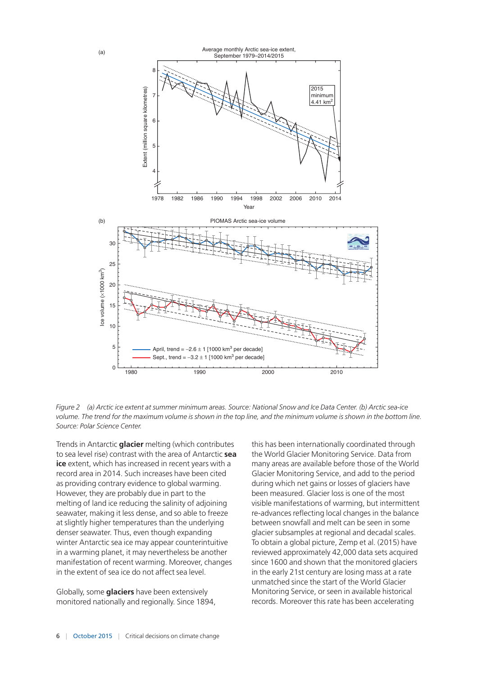



Trends in Antarctic **glacier** melting (which contributes to sea level rise) contrast with the area of Antarctic **sea ice** extent, which has increased in recent years with a record area in 2014. Such increases have been cited as providing contrary evidence to global warming. However, they are probably due in part to the melting of land ice reducing the salinity of adjoining seawater, making it less dense, and so able to freeze at slightly higher temperatures than the underlying denser seawater. Thus, even though expanding winter Antarctic sea ice may appear counterintuitive in a warming planet, it may nevertheless be another manifestation of recent warming. Moreover, changes in the extent of sea ice do not affect sea level.

Globally, some **glaciers** have been extensively monitored nationally and regionally. Since 1894, this has been internationally coordinated through the World Glacier Monitoring Service. Data from many areas are available before those of the World Glacier Monitoring Service, and add to the period during which net gains or losses of glaciers have been measured. Glacier loss is one of the most visible manifestations of warming, but intermittent re-advances reflecting local changes in the balance between snowfall and melt can be seen in some glacier subsamples at regional and decadal scales. To obtain a global picture, Zemp et al. (2015) have reviewed approximately 42,000 data sets acquired since 1600 and shown that the monitored glaciers in the early 21st century are losing mass at a rate unmatched since the start of the World Glacier Monitoring Service, or seen in available historical records. Moreover this rate has been accelerating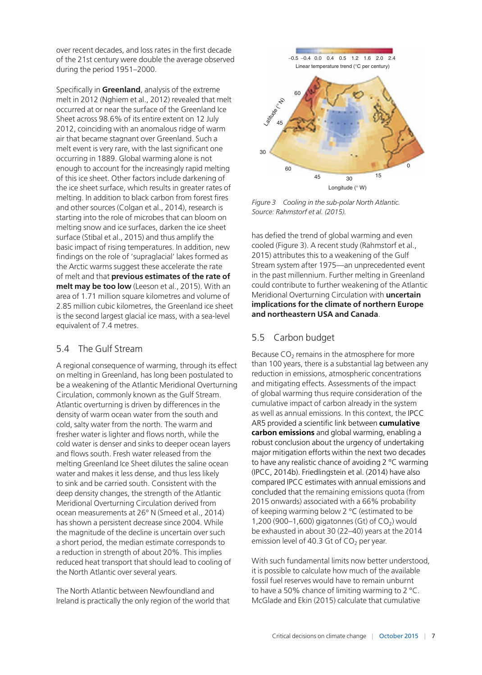over recent decades, and loss rates in the first decade of the 21st century were double the average observed during the period 1951–2000.

Specifically in **Greenland**, analysis of the extreme melt in 2012 (Nghiem et al., 2012) revealed that melt occurred at or near the surface of the Greenland Ice Sheet across 98.6% of its entire extent on 12 July 2012, coinciding with an anomalous ridge of warm air that became stagnant over Greenland. Such a melt event is very rare, with the last significant one occurring in 1889. Global warming alone is not enough to account for the increasingly rapid melting of this ice sheet. Other factors include darkening of the ice sheet surface, which results in greater rates of melting. In addition to black carbon from forest fires and other sources (Colgan et al., 2014), research is starting into the role of microbes that can bloom on melting snow and ice surfaces, darken the ice sheet surface (Stibal et al., 2015) and thus amplify the basic impact of rising temperatures. In addition, new findings on the role of 'supraglacial' lakes formed as the Arctic warms suggest these accelerate the rate of melt and that **previous estimates of the rate of melt may be too low** (Leeson et al., 2015). With an area of 1.71 million square kilometres and volume of 2.85 million cubic kilometres, the Greenland ice sheet is the second largest glacial ice mass, with a sea-level equivalent of 7.4 metres.

# 5.4 The Gulf Stream

A regional consequence of warming, through its effect on melting in Greenland, has long been postulated to be a weakening of the Atlantic Meridional Overturning Circulation, commonly known as the Gulf Stream. Atlantic overturning is driven by differences in the density of warm ocean water from the south and cold, salty water from the north. The warm and fresher water is lighter and flows north, while the cold water is denser and sinks to deeper ocean layers and flows south. Fresh water released from the melting Greenland Ice Sheet dilutes the saline ocean water and makes it less dense, and thus less likely to sink and be carried south. Consistent with the deep density changes, the strength of the Atlantic Meridional Overturning Circulation derived from ocean measurements at 26° N (Smeed et al., 2014) has shown a persistent decrease since 2004. While the magnitude of the decline is uncertain over such a short period, the median estimate corresponds to a reduction in strength of about 20%. This implies reduced heat transport that should lead to cooling of the North Atlantic over several years.

The North Atlantic between Newfoundland and Ireland is practically the only region of the world that



*Figure 3 Cooling in the sub-polar North Atlantic. Source: Rahmstorf et al. (2015).*

has defied the trend of global warming and even cooled (Figure 3). A recent study (Rahmstorf et al., 2015) attributes this to a weakening of the Gulf Stream system after 1975—an unprecedented event in the past millennium. Further melting in Greenland could contribute to further weakening of the Atlantic Meridional Overturning Circulation with **uncertain implications for the climate of northern Europe and northeastern USA and Canada**.

# 5.5 Carbon budget

Because  $CO<sub>2</sub>$  remains in the atmosphere for more than 100 years, there is a substantial lag between any reduction in emissions, atmospheric concentrations and mitigating effects. Assessments of the impact of global warming thus require consideration of the cumulative impact of carbon already in the system as well as annual emissions. In this context, the IPCC AR5 provided a scientific link between **cumulative carbon emissions** and global warming, enabling a robust conclusion about the urgency of undertaking major mitigation efforts within the next two decades to have any realistic chance of avoiding 2 °C warming (IPCC, 2014b). Friedlingstein et al. (2014) have also compared IPCC estimates with annual emissions and concluded that the remaining emissions quota (from 2015 onwards) associated with a 66% probability of keeping warming below 2 °C (estimated to be 1,200 (900–1,600) gigatonnes (Gt) of  $CO<sub>2</sub>$ ) would be exhausted in about 30 (22–40) years at the 2014 emission level of 40.3 Gt of  $CO<sub>2</sub>$  per year.

With such fundamental limits now better understood, it is possible to calculate how much of the available fossil fuel reserves would have to remain unburnt to have a 50% chance of limiting warming to 2 °C. McGlade and Ekin (2015) calculate that cumulative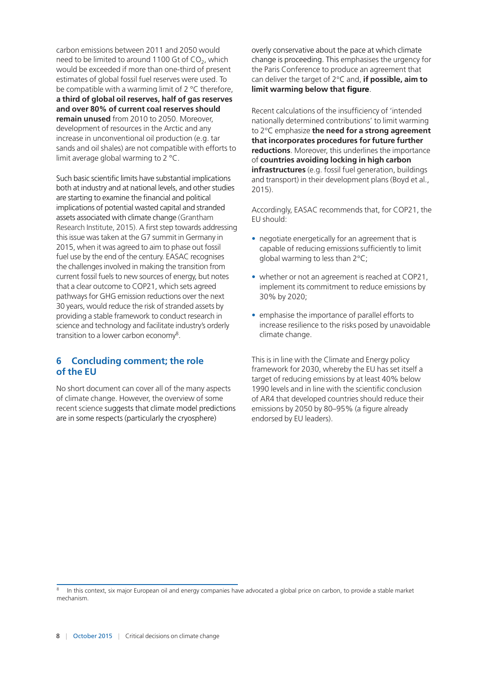carbon emissions between 2011 and 2050 would need to be limited to around 1100 Gt of  $CO<sub>2</sub>$ , which would be exceeded if more than one-third of present estimates of global fossil fuel reserves were used. To be compatible with a warming limit of 2 °C therefore, **a third of global oil reserves, half of gas reserves and over 80% of current coal reserves should remain unused** from 2010 to 2050. Moreover, development of resources in the Arctic and any increase in unconventional oil production (e.g. tar sands and oil shales) are not compatible with efforts to limit average global warming to 2 °C.

Such basic scientific limits have substantial implications both at industry and at national levels, and other studies are starting to examine the financial and political implications of potential wasted capital and stranded assets associated with climate change (Grantham Research Institute, 2015). A first step towards addressing this issue was taken at the G7 summit in Germany in 2015, when it was agreed to aim to phase out fossil fuel use by the end of the century. EASAC recognises the challenges involved in making the transition from current fossil fuels to new sources of energy, but notes that a clear outcome to COP21, which sets agreed pathways for GHG emission reductions over the next 30 years, would reduce the risk of stranded assets by providing a stable framework to conduct research in science and technology and facilitate industry's orderly transition to a lower carbon economy<sup>8</sup>.

# **6 Concluding comment; the role of the EU**

No short document can cover all of the many aspects of climate change. However, the overview of some recent science suggests that climate model predictions are in some respects (particularly the cryosphere)

overly conservative about the pace at which climate change is proceeding. This emphasises the urgency for the Paris Conference to produce an agreement that can deliver the target of 2°C and, **if possible, aim to limit warming below that figure**.

Recent calculations of the insufficiency of 'intended nationally determined contributions' to limit warming to 2°C emphasize **the need for a strong agreement that incorporates procedures for future further reductions**. Moreover, this underlines the importance of **countries avoiding locking in high carbon infrastructures** (e.g. fossil fuel generation, buildings and transport) in their development plans (Boyd et al., 2015).

Accordingly, EASAC recommends that, for COP21, the EU should:

- negotiate energetically for an agreement that is capable of reducing emissions sufficiently to limit global warming to less than 2°C;
- whether or not an agreement is reached at COP21, implement its commitment to reduce emissions by 30% by 2020;
- emphasise the importance of parallel efforts to increase resilience to the risks posed by unavoidable climate change.

This is in line with the Climate and Energy policy framework for 2030, whereby the EU has set itself a target of reducing emissions by at least 40% below 1990 levels and in line with the scientific conclusion of AR4 that developed countries should reduce their emissions by 2050 by 80–95% (a figure already endorsed by EU leaders).

In this context, six major European oil and energy companies have advocated a global price on carbon, to provide a stable market mechanism.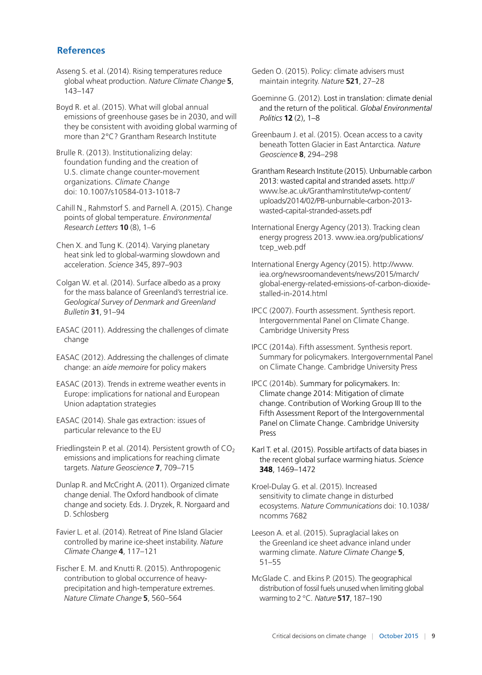### **References**

Asseng S. et al. (2014). Rising temperatures reduce global wheat production. *Nature Climate Change* **5**, 143–147

Boyd R. et al. (2015). What will global annual emissions of greenhouse gases be in 2030, and will they be consistent with avoiding global warming of more than 2°C? Grantham Research Institute

Brulle R. (2013). Institutionalizing delay: foundation funding and the creation of U.S. climate change counter-movement organizations. *Climate Change* doi: 10.1007/s10584-013-1018-7

Cahill N., Rahmstorf S. and Parnell A. (2015). Change points of global temperature. *Environmental Research Letters* **10** (8), 1–6

Chen X. and Tung K. (2014). Varying planetary heat sink led to global-warming slowdown and acceleration. *Science* 345, 897–903

Colgan W. et al. (2014). Surface albedo as a proxy for the mass balance of Greenland's terrestrial ice. *Geological Survey of Denmark and Greenland Bulletin* **31**, 91–94

EASAC (2011). Addressing the challenges of climate change

EASAC (2012). Addressing the challenges of climate change: an *aide memoire* for policy makers

EASAC (2013). Trends in extreme weather events in Europe: implications for national and European Union adaptation strategies

EASAC (2014). Shale gas extraction: issues of particular relevance to the EU

Friedlingstein P. et al. (2014). Persistent growth of  $CO<sub>2</sub>$ emissions and implications for reaching climate targets. *Nature Geoscience* **7**, 709–715

Dunlap R. and McCright A. (2011). Organized climate change denial. The Oxford handbook of climate change and society. Eds. J. Dryzek, R. Norgaard and D. Schlosberg

Favier L. et al. (2014). Retreat of Pine Island Glacier controlled by marine ice-sheet instability. *Nature Climate Change* **4**, 117–121

Fischer E. M. and Knutti R. (2015). Anthropogenic contribution to global occurrence of heavyprecipitation and high-temperature extremes. *Nature Climate Change* **5**, 560–564

Geden O. (2015). Policy: climate advisers must maintain integrity. *Nature* **521**, 27–28

Goeminne G. (2012). Lost in translation: climate denial and the return of the political. *Global Environmental Politics* **12** (2), 1–8

Greenbaum J. et al. (2015). Ocean access to a cavity beneath Totten Glacier in East Antarctica*. Nature Geoscience* **8**, 294–298

Grantham Research Institute (2015). Unburnable carbon 2013: wasted capital and stranded assets. http:// www.lse.ac.uk/GranthamInstitute/wp-content/ uploads/2014/02/PB-unburnable-carbon-2013 wasted-capital-stranded-assets.pdf

International Energy Agency (2013). Tracking clean energy progress 2013. [www.iea.org/publications/](http://www.iea.org/publications/tcep_web.pdf) [tcep\\_web.pdf](http://www.iea.org/publications/tcep_web.pdf)

International Energy Agency (2015). [http://www.](http://www.iea.org/newsroomandevents/news/2015/march/global-energy-related-emissions-of-carbon-dioxide-stalled-in-2014.html) [iea.org/newsroomandevents/news/2015/march/](http://www.iea.org/newsroomandevents/news/2015/march/global-energy-related-emissions-of-carbon-dioxide-stalled-in-2014.html) [global-energy-related-emissions-of-carbon-dioxide](http://www.iea.org/newsroomandevents/news/2015/march/global-energy-related-emissions-of-carbon-dioxide-stalled-in-2014.html)[stalled-in-2014.html](http://www.iea.org/newsroomandevents/news/2015/march/global-energy-related-emissions-of-carbon-dioxide-stalled-in-2014.html)

IPCC (2007). Fourth assessment. Synthesis report. Intergovernmental Panel on Climate Change. Cambridge University Press

IPCC (2014a). Fifth assessment. Synthesis report. Summary for policymakers. Intergovernmental Panel on Climate Change. Cambridge University Press

IPCC (2014b). Summary for policymakers. In: Climate change 2014: Mitigation of climate change. Contribution of Working Group III to the Fifth Assessment Report of the Intergovernmental Panel on Climate Change. Cambridge University Press

Karl T. et al. (2015). Possible artifacts of data biases in the recent global surface warming hiatus. *Science* **348**, 1469–1472

Kroel-Dulay G. et al. (2015). Increased sensitivity to climate change in disturbed ecosystems. *Nature Communications* doi: 10.1038/ ncomms 7682

Leeson A. et al. (2015). Supraglacial lakes on the Greenland ice sheet advance inland under warming climate. *Nature Climate Change* **5**, 51–55

McGlade C. and Ekins P. (2015). The geographical distribution of fossil fuels unused when limiting global warming to 2 °C. *Nature* **517**, 187–190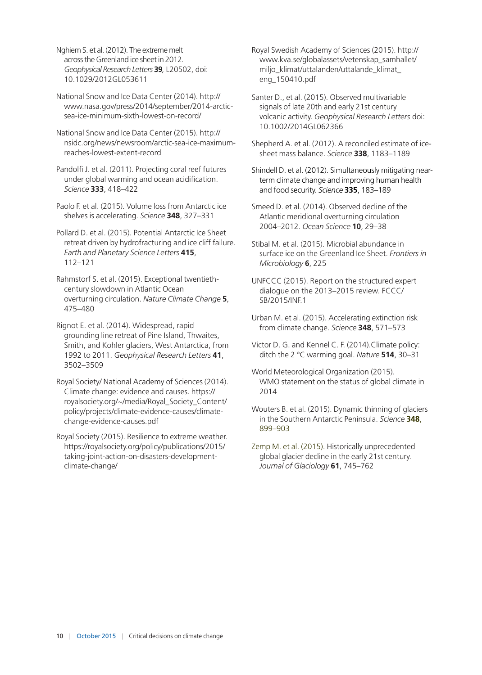Nghiem S. et al. (2012). The extreme melt across the Greenland ice sheet in 2012*. Geophysical Research Letters* **39***,* L20502, doi: 10.1029/2012GL053611

National Snow and Ice Data Center (2014). [http://](http://www.nasa.gov/press/2014/september/2014-arctic-sea-ice-minimum-sixth-lowest-on-record/) [www.nasa.gov/press/2014/september/2014-arctic](http://www.nasa.gov/press/2014/september/2014-arctic-sea-ice-minimum-sixth-lowest-on-record/)[sea-ice-minimum-sixth-lowest-on-record/](http://www.nasa.gov/press/2014/september/2014-arctic-sea-ice-minimum-sixth-lowest-on-record/)

National Snow and Ice Data Center (2015). [http://](http://nsidc.org/news/newsroom/arctic-sea-ice-maximum-reaches-lowest-extent-record) [nsidc.org/news/newsroom/arctic-sea-ice-maximum](http://nsidc.org/news/newsroom/arctic-sea-ice-maximum-reaches-lowest-extent-record)[reaches-lowest-extent-record](http://nsidc.org/news/newsroom/arctic-sea-ice-maximum-reaches-lowest-extent-record)

Pandolfi J. et al. (2011). Projecting coral reef futures under global warming and ocean acidification. *Science* **333**, 418–422

Paolo F. et al. (2015). Volume loss from Antarctic ice shelves is accelerating. *Science* **348**, 327–331

Pollard D. et al. (2015). Potential Antarctic Ice Sheet retreat driven by hydrofracturing and ice cliff failure. *Earth and Planetary Science Letters* **415**, 112–121

Rahmstorf S. et al. (2015). Exceptional twentiethcentury slowdown in Atlantic Ocean overturning circulation. *Nature Climate Change* **5**, 475–480

Rignot E. et al. (2014). Widespread, rapid grounding line retreat of Pine Island, Thwaites, Smith, and Kohler glaciers, West Antarctica, from 1992 to 2011. *Geophysical Research Letters* **41**, 3502–3509

Royal Society/ National Academy of Sciences (2014). Climate change: evidence and causes. [https://](https://royalsociety.org/~/media/Royal_Society_Content/policy/projects/climate-evidence-causes/climate-change-evidence-causes.pdf) [royalsociety.org/~/media/Royal\\_Society\\_Content/](https://royalsociety.org/~/media/Royal_Society_Content/policy/projects/climate-evidence-causes/climate-change-evidence-causes.pdf) [policy/projects/climate-evidence-causes/climate](https://royalsociety.org/~/media/Royal_Society_Content/policy/projects/climate-evidence-causes/climate-change-evidence-causes.pdf)[change-evidence-causes.pdf](https://royalsociety.org/~/media/Royal_Society_Content/policy/projects/climate-evidence-causes/climate-change-evidence-causes.pdf)

Royal Society (2015). Resilience to extreme weather. [https://royalsociety.org/policy/publications/2015/](https://royalsociety.org/policy/publications/2015/taking-joint-action-on-disasters-development-climate-change/) [taking-joint-action-on-disasters-development](https://royalsociety.org/policy/publications/2015/taking-joint-action-on-disasters-development-climate-change/)[climate-change/](https://royalsociety.org/policy/publications/2015/taking-joint-action-on-disasters-development-climate-change/)

Royal Swedish Academy of Sciences (2015). [http://](http://www.kva.se/globalassets/vetenskap_samhallet/miljo_klimat/uttalanden/uttalande_klimat_eng_150410.pdf) [www.kva.se/globalassets/vetenskap\\_samhallet/](http://www.kva.se/globalassets/vetenskap_samhallet/miljo_klimat/uttalanden/uttalande_klimat_eng_150410.pdf) miljo\_klimat/uttalanden/uttalande\_klimat [eng\\_150410.pdf](http://www.kva.se/globalassets/vetenskap_samhallet/miljo_klimat/uttalanden/uttalande_klimat_eng_150410.pdf)

Santer D., et al. (2015). Observed multivariable signals of late 20th and early 21st century volcanic activity. *Geophysical Research Letters* doi: 10.1002/2014GL062366

Shepherd A. et al. (2012). A reconciled estimate of icesheet mass balance. *Science* **338**, 1183–1189

Shindell D. et al. (2012). Simultaneously mitigating nearterm climate change and improving human health and food security. *Science* **335**, 183–189

Smeed D. et al. (2014). Observed decline of the Atlantic meridional overturning circulation 2004–2012. *Ocean Science* **10**, 29–38

Stibal M. et al. (2015). Microbial abundance in surface ice on the Greenland Ice Sheet. *Frontiers in Microbiology* **6**, 225

UNFCCC (2015). Report on the structured expert dialogue on the 2013–2015 review. FCCC/ SB/2015/INF.1

Urban M. et al. (2015). Accelerating extinction risk from climate change. *Science* **348**, 571–573

Victor D. G. and Kennel C. F. (2014).Climate policy: ditch the 2 °C warming goal. *Nature* **514**, 30–31

World Meteorological Organization (2015). WMO statement on the status of global climate in 2014

Wouters B. et al. (2015). Dynamic thinning of glaciers in the Southern Antarctic Peninsula. *Science* **348**, 899–903

Zemp M. et al. (2015). Historically unprecedented global glacier decline in the early 21st century. *Journal of Glaciology* **61**, 745–762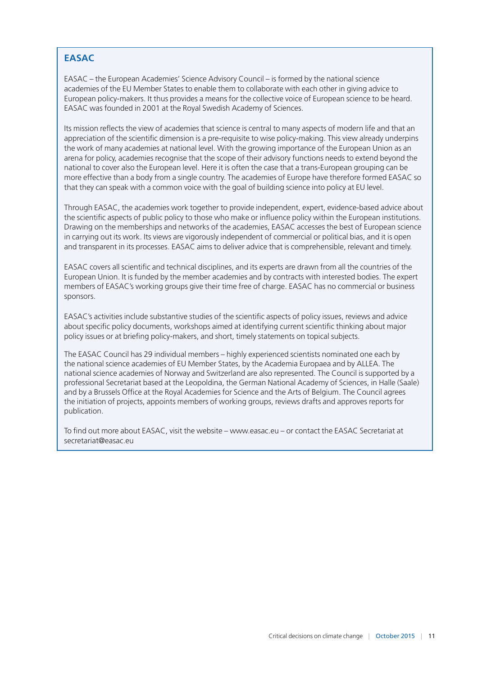# **EASAC**

EASAC – the European Academies' Science Advisory Council – is formed by the national science academies of the EU Member States to enable them to collaborate with each other in giving advice to European policy-makers. It thus provides a means for the collective voice of European science to be heard. EASAC was founded in 2001 at the Royal Swedish Academy of Sciences.

Its mission reflects the view of academies that science is central to many aspects of modern life and that an appreciation of the scientific dimension is a pre-requisite to wise policy-making. This view already underpins the work of many academies at national level. With the growing importance of the European Union as an arena for policy, academies recognise that the scope of their advisory functions needs to extend beyond the national to cover also the European level. Here it is often the case that a trans-European grouping can be more effective than a body from a single country. The academies of Europe have therefore formed EASAC so that they can speak with a common voice with the goal of building science into policy at EU level.

Through EASAC, the academies work together to provide independent, expert, evidence-based advice about the scientific aspects of public policy to those who make or influence policy within the European institutions. Drawing on the memberships and networks of the academies, EASAC accesses the best of European science in carrying out its work. Its views are vigorously independent of commercial or political bias, and it is open and transparent in its processes. EASAC aims to deliver advice that is comprehensible, relevant and timely.

EASAC covers all scientific and technical disciplines, and its experts are drawn from all the countries of the European Union. It is funded by the member academies and by contracts with interested bodies. The expert members of EASAC's working groups give their time free of charge. EASAC has no commercial or business sponsors.

EASAC's activities include substantive studies of the scientific aspects of policy issues, reviews and advice about specific policy documents, workshops aimed at identifying current scientific thinking about major policy issues or at briefing policy-makers, and short, timely statements on topical subjects.

The EASAC Council has 29 individual members – highly experienced scientists nominated one each by the national science academies of EU Member States, by the Academia Europaea and by ALLEA. The national science academies of Norway and Switzerland are also represented. The Council is supported by a professional Secretariat based at the Leopoldina, the German National Academy of Sciences, in Halle (Saale) and by a Brussels Office at the Royal Academies for Science and the Arts of Belgium. The Council agrees the initiation of projects, appoints members of working groups, reviews drafts and approves reports for publication.

To find out more about EASAC, visit the website – www.easac.eu – or contact the EASAC Secretariat at [secretariat@easac.eu](mailto:secretariat@easac.eu)